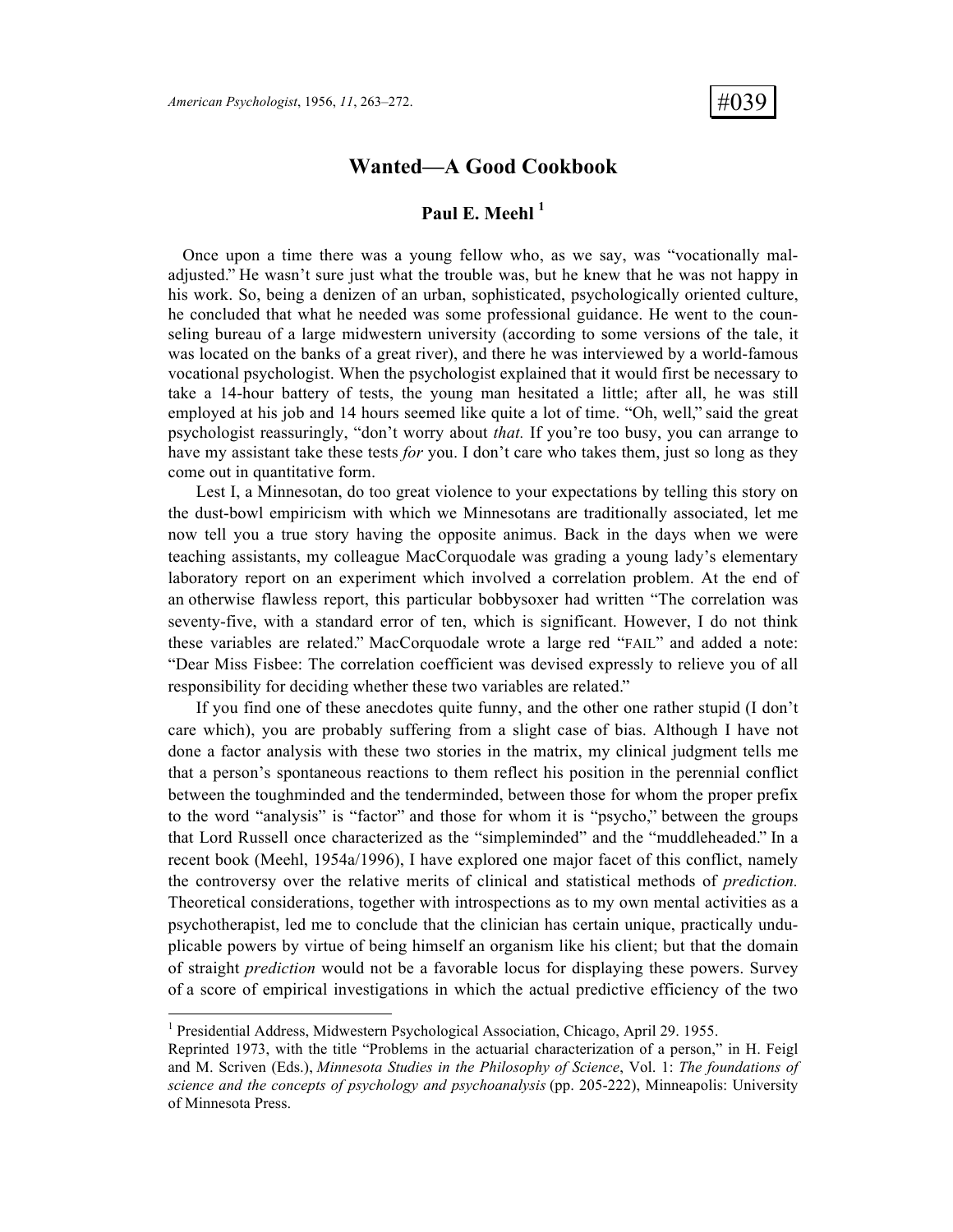# **Wanted—A Good Cookbook**

## **Paul E. Meehl <sup>1</sup>**

Once upon a time there was a young fellow who, as we say, was "vocationally maladjusted." He wasn't sure just what the trouble was, but he knew that he was not happy in his work. So, being a denizen of an urban, sophisticated, psychologically oriented culture, he concluded that what he needed was some professional guidance. He went to the counseling bureau of a large midwestern university (according to some versions of the tale, it was located on the banks of a great river), and there he was interviewed by a world-famous vocational psychologist. When the psychologist explained that it would first be necessary to take a 14-hour battery of tests, the young man hesitated a little; after all, he was still employed at his job and 14 hours seemed like quite a lot of time. "Oh, well," said the great psychologist reassuringly, "don't worry about *that.* If you're too busy, you can arrange to have my assistant take these tests *for* you. I don't care who takes them, just so long as they come out in quantitative form.

Lest I, a Minnesotan, do too great violence to your expectations by telling this story on the dust-bowl empiricism with which we Minnesotans are traditionally associated, let me now tell you a true story having the opposite animus. Back in the days when we were teaching assistants, my colleague MacCorquodale was grading a young lady's elementary laboratory report on an experiment which involved a correlation problem. At the end of an otherwise flawless report, this particular bobbysoxer had written "The correlation was seventy-five, with a standard error of ten, which is significant. However, I do not think these variables are related." MacCorquodale wrote a large red "FAIL" and added a note: "Dear Miss Fisbee: The correlation coefficient was devised expressly to relieve you of all responsibility for deciding whether these two variables are related."

If you find one of these anecdotes quite funny, and the other one rather stupid (I don't care which), you are probably suffering from a slight case of bias. Although I have not done a factor analysis with these two stories in the matrix, my clinical judgment tells me that a person's spontaneous reactions to them reflect his position in the perennial conflict between the toughminded and the tenderminded, between those for whom the proper prefix to the word "analysis" is "factor" and those for whom it is "psycho," between the groups that Lord Russell once characterized as the "simpleminded" and the "muddleheaded." In a recent book (Meehl, 1954a/1996), I have explored one major facet of this conflict, namely the controversy over the relative merits of clinical and statistical methods of *prediction.*  Theoretical considerations, together with introspections as to my own mental activities as a psychotherapist, led me to conclude that the clinician has certain unique, practically unduplicable powers by virtue of being himself an organism like his client; but that the domain of straight *prediction* would not be a favorable locus for displaying these powers. Survey of a score of empirical investigations in which the actual predictive efficiency of the two

<sup>&</sup>lt;sup>1</sup> Presidential Address, Midwestern Psychological Association, Chicago, April 29. 1955.

Reprinted 1973, with the title "Problems in the actuarial characterization of a person," in H. Feigl and M. Scriven (Eds.), *Minnesota Studies in the Philosophy of Science*, Vol. 1: *The foundations of science and the concepts of psychology and psychoanalysis* (pp. 205-222), Minneapolis: University of Minnesota Press.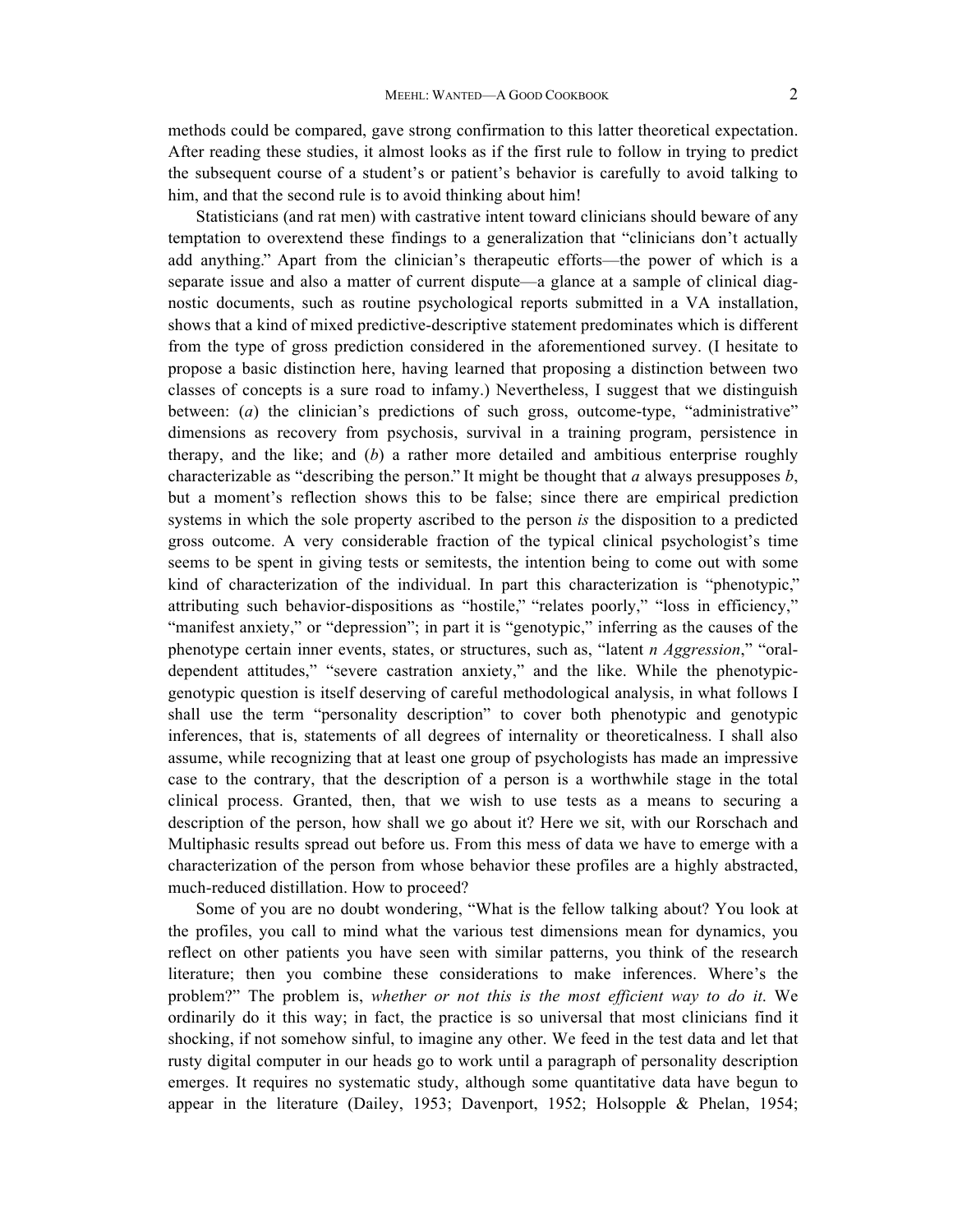methods could be compared, gave strong confirmation to this latter theoretical expectation. After reading these studies, it almost looks as if the first rule to follow in trying to predict the subsequent course of a student's or patient's behavior is carefully to avoid talking to him, and that the second rule is to avoid thinking about him!

Statisticians (and rat men) with castrative intent toward clinicians should beware of any temptation to overextend these findings to a generalization that "clinicians don't actually add anything." Apart from the clinician's therapeutic efforts—the power of which is a separate issue and also a matter of current dispute—a glance at a sample of clinical diagnostic documents, such as routine psychological reports submitted in a VA installation, shows that a kind of mixed predictive-descriptive statement predominates which is different from the type of gross prediction considered in the aforementioned survey. (I hesitate to propose a basic distinction here, having learned that proposing a distinction between two classes of concepts is a sure road to infamy.) Nevertheless, I suggest that we distinguish between: (*a*) the clinician's predictions of such gross, outcome-type, "administrative" dimensions as recovery from psychosis, survival in a training program, persistence in therapy, and the like; and (*b*) a rather more detailed and ambitious enterprise roughly characterizable as "describing the person." It might be thought that *a* always presupposes *b*, but a moment's reflection shows this to be false; since there are empirical prediction systems in which the sole property ascribed to the person *is* the disposition to a predicted gross outcome. A very considerable fraction of the typical clinical psychologist's time seems to be spent in giving tests or semitests, the intention being to come out with some kind of characterization of the individual. In part this characterization is "phenotypic," attributing such behavior-dispositions as "hostile," "relates poorly," "loss in efficiency," "manifest anxiety," or "depression"; in part it is "genotypic," inferring as the causes of the phenotype certain inner events, states, or structures, such as, "latent *n Aggression*," "oraldependent attitudes," "severe castration anxiety," and the like. While the phenotypicgenotypic question is itself deserving of careful methodological analysis, in what follows I shall use the term "personality description" to cover both phenotypic and genotypic inferences, that is, statements of all degrees of internality or theoreticalness. I shall also assume, while recognizing that at least one group of psychologists has made an impressive case to the contrary, that the description of a person is a worthwhile stage in the total clinical process. Granted, then, that we wish to use tests as a means to securing a description of the person, how shall we go about it? Here we sit, with our Rorschach and Multiphasic results spread out before us. From this mess of data we have to emerge with a characterization of the person from whose behavior these profiles are a highly abstracted, much-reduced distillation. How to proceed?

Some of you are no doubt wondering, "What is the fellow talking about? You look at the profiles, you call to mind what the various test dimensions mean for dynamics, you reflect on other patients you have seen with similar patterns, you think of the research literature; then you combine these considerations to make inferences. Where's the problem?" The problem is, *whether or not this is the most efficient way to do it*. We ordinarily do it this way; in fact, the practice is so universal that most clinicians find it shocking, if not somehow sinful, to imagine any other. We feed in the test data and let that rusty digital computer in our heads go to work until a paragraph of personality description emerges. It requires no systematic study, although some quantitative data have begun to appear in the literature (Dailey, 1953; Davenport, 1952; Holsopple & Phelan, 1954;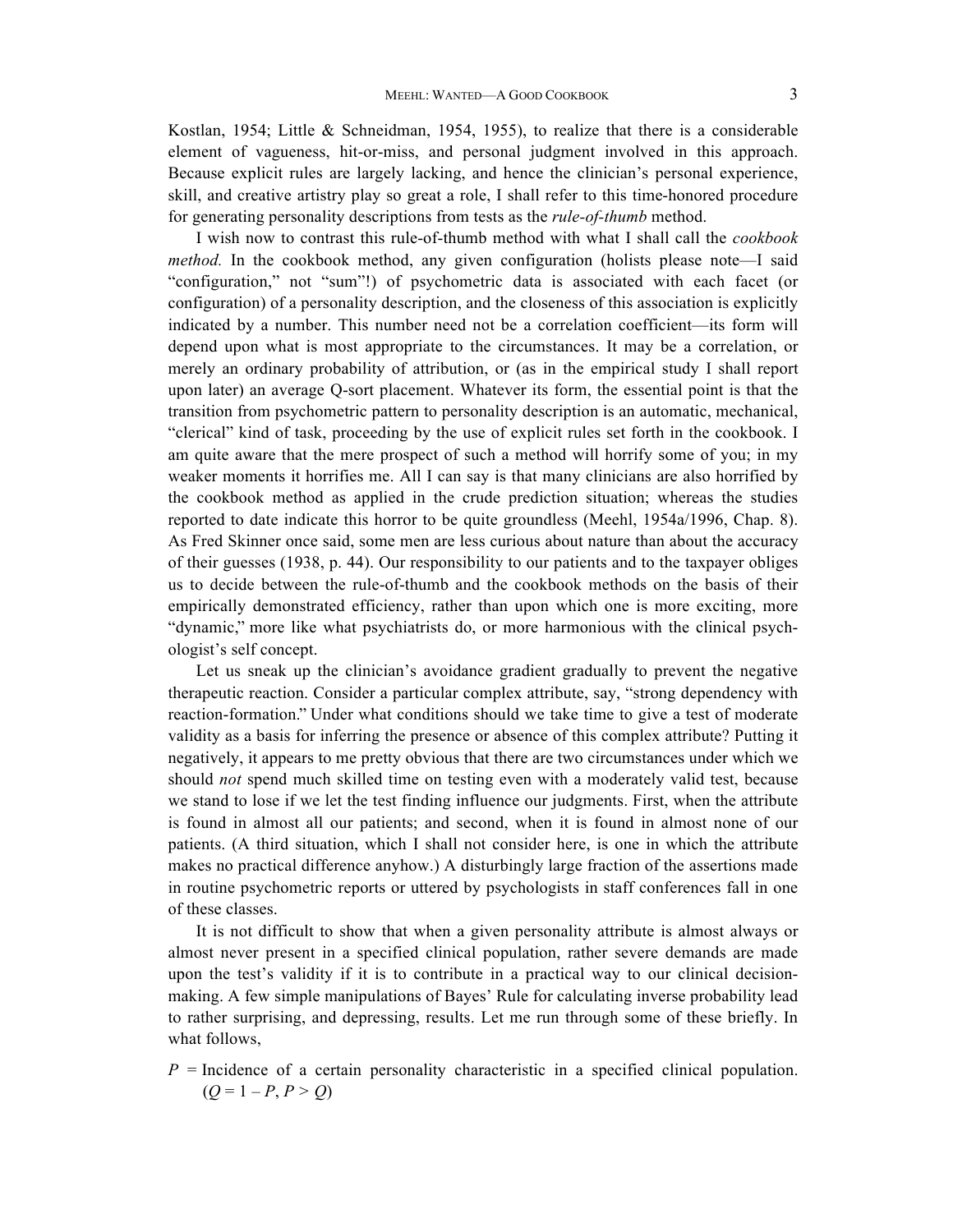Kostlan, 1954; Little & Schneidman, 1954, 1955), to realize that there is a considerable element of vagueness, hit-or-miss, and personal judgment involved in this approach. Because explicit rules are largely lacking, and hence the clinician's personal experience, skill, and creative artistry play so great a role, I shall refer to this time-honored procedure for generating personality descriptions from tests as the *rule-of-thumb* method.

I wish now to contrast this rule-of-thumb method with what I shall call the *cookbook method.* In the cookbook method, any given configuration (holists please note—I said "configuration," not "sum"!) of psychometric data is associated with each facet (or configuration) of a personality description, and the closeness of this association is explicitly indicated by a number. This number need not be a correlation coefficient—its form will depend upon what is most appropriate to the circumstances. It may be a correlation, or merely an ordinary probability of attribution, or (as in the empirical study I shall report upon later) an average Q-sort placement. Whatever its form, the essential point is that the transition from psychometric pattern to personality description is an automatic, mechanical, "clerical" kind of task, proceeding by the use of explicit rules set forth in the cookbook. I am quite aware that the mere prospect of such a method will horrify some of you; in my weaker moments it horrifies me. All I can say is that many clinicians are also horrified by the cookbook method as applied in the crude prediction situation; whereas the studies reported to date indicate this horror to be quite groundless (Meehl, 1954a/1996, Chap. 8). As Fred Skinner once said, some men are less curious about nature than about the accuracy of their guesses (1938, p. 44). Our responsibility to our patients and to the taxpayer obliges us to decide between the rule-of-thumb and the cookbook methods on the basis of their empirically demonstrated efficiency, rather than upon which one is more exciting, more "dynamic," more like what psychiatrists do, or more harmonious with the clinical psychologist's self concept.

Let us sneak up the clinician's avoidance gradient gradually to prevent the negative therapeutic reaction. Consider a particular complex attribute, say, "strong dependency with reaction-formation." Under what conditions should we take time to give a test of moderate validity as a basis for inferring the presence or absence of this complex attribute? Putting it negatively, it appears to me pretty obvious that there are two circumstances under which we should *not* spend much skilled time on testing even with a moderately valid test, because we stand to lose if we let the test finding influence our judgments. First, when the attribute is found in almost all our patients; and second, when it is found in almost none of our patients. (A third situation, which I shall not consider here, is one in which the attribute makes no practical difference anyhow.) A disturbingly large fraction of the assertions made in routine psychometric reports or uttered by psychologists in staff conferences fall in one of these classes.

It is not difficult to show that when a given personality attribute is almost always or almost never present in a specified clinical population, rather severe demands are made upon the test's validity if it is to contribute in a practical way to our clinical decisionmaking. A few simple manipulations of Bayes' Rule for calculating inverse probability lead to rather surprising, and depressing, results. Let me run through some of these briefly. In what follows,

*P =* Incidence of a certain personality characteristic in a specified clinical population. (*Q* = 1 – *P*, *P > Q*)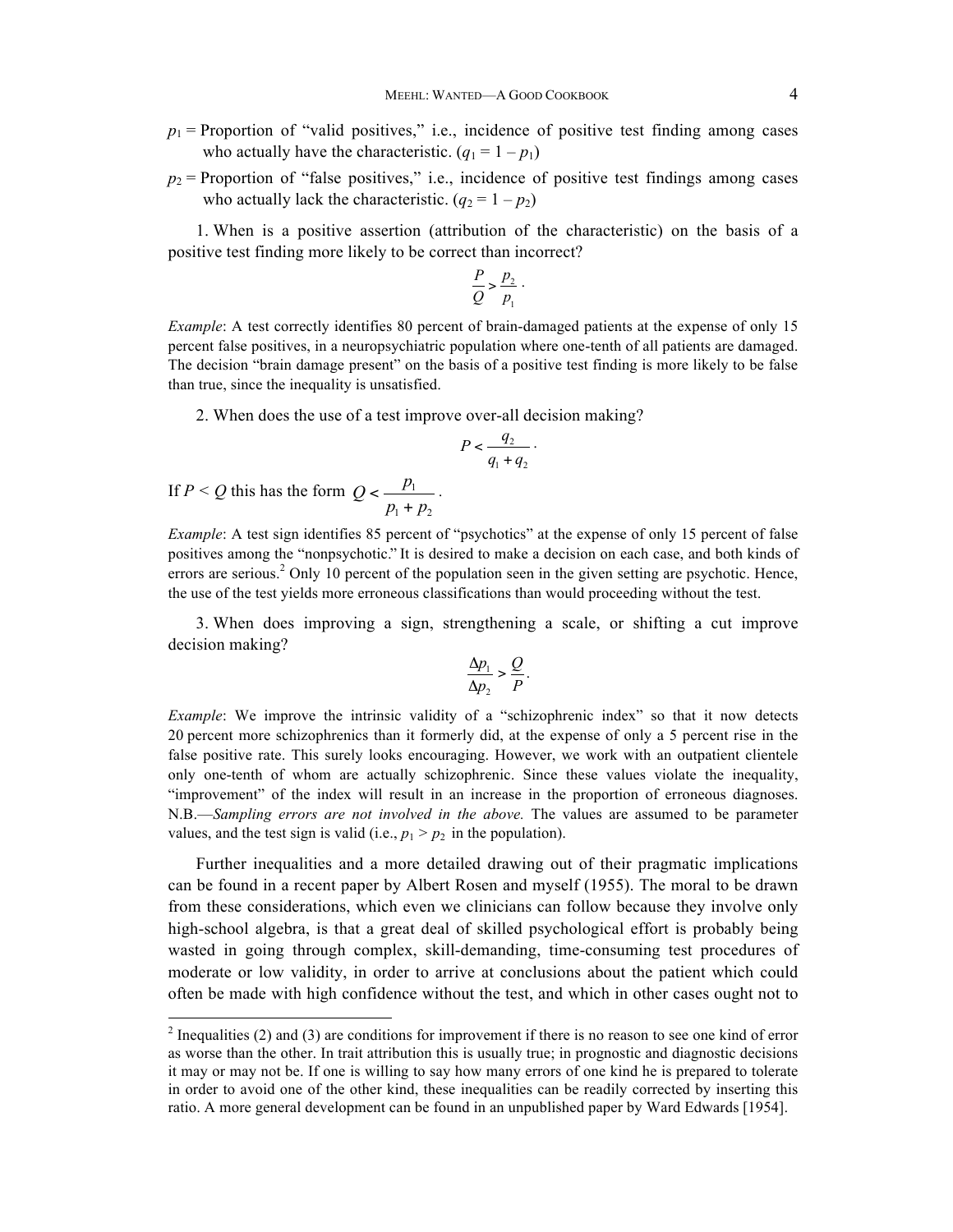- $p_1$  = Proportion of "valid positives," i.e., incidence of positive test finding among cases who actually have the characteristic.  $(q_1 = 1 - p_1)$
- $p_2$  = Proportion of "false positives," i.e., incidence of positive test findings among cases who actually lack the characteristic.  $(q_2 = 1 - p_2)$

1. When is a positive assertion (attribution of the characteristic) on the basis of a positive test finding more likely to be correct than incorrect?

$$
\frac{P}{Q} > \frac{p_2}{p_1}
$$

.

*Example*: A test correctly identifies 80 percent of brain-damaged patients at the expense of only 15 percent false positives, in a neuropsychiatric population where one-tenth of all patients are damaged. The decision "brain damage present" on the basis of a positive test finding is more likely to be false than true, since the inequality is unsatisfied.

2. When does the use of a test improve over-all decision making?

$$
P < \frac{q_2}{q_1 + q_2}.
$$

If  $P \leq Q$  this has the form  $Q \lt \frac{P_1}{P_1}$  $1 + P_2$  $Q \leftarrow \frac{p}{q}$  $\frac{P_1}{p_1+p_2}$ .

*Example*: A test sign identifies 85 percent of "psychotics" at the expense of only 15 percent of false positives among the "nonpsychotic." It is desired to make a decision on each case, and both kinds of errors are serious.<sup>2</sup> Only 10 percent of the population seen in the given setting are psychotic. Hence, the use of the test yields more erroneous classifications than would proceeding without the test.

3. When does improving a sign, strengthening a scale, or shifting a cut improve decision making?

$$
\frac{\Delta p_1}{\Delta p_2} > \frac{Q}{P}.
$$

*Example*: We improve the intrinsic validity of a "schizophrenic index" so that it now detects 20 percent more schizophrenics than it formerly did, at the expense of only a 5 percent rise in the false positive rate. This surely looks encouraging. However, we work with an outpatient clientele only one-tenth of whom are actually schizophrenic. Since these values violate the inequality, "improvement" of the index will result in an increase in the proportion of erroneous diagnoses. N.B.—*Sampling errors are not involved in the above.* The values are assumed to be parameter values, and the test sign is valid (i.e.,  $p_1 > p_2$  in the population).

Further inequalities and a more detailed drawing out of their pragmatic implications can be found in a recent paper by Albert Rosen and myself (1955). The moral to be drawn from these considerations, which even we clinicians can follow because they involve only high-school algebra, is that a great deal of skilled psychological effort is probably being wasted in going through complex, skill-demanding, time-consuming test procedures of moderate or low validity, in order to arrive at conclusions about the patient which could often be made with high confidence without the test, and which in other cases ought not to

 <sup>2</sup> Inequalities (2) and (3) are conditions for improvement if there is no reason to see one kind of error as worse than the other. In trait attribution this is usually true; in prognostic and diagnostic decisions it may or may not be. If one is willing to say how many errors of one kind he is prepared to tolerate in order to avoid one of the other kind, these inequalities can be readily corrected by inserting this ratio. A more general development can be found in an unpublished paper by Ward Edwards [1954].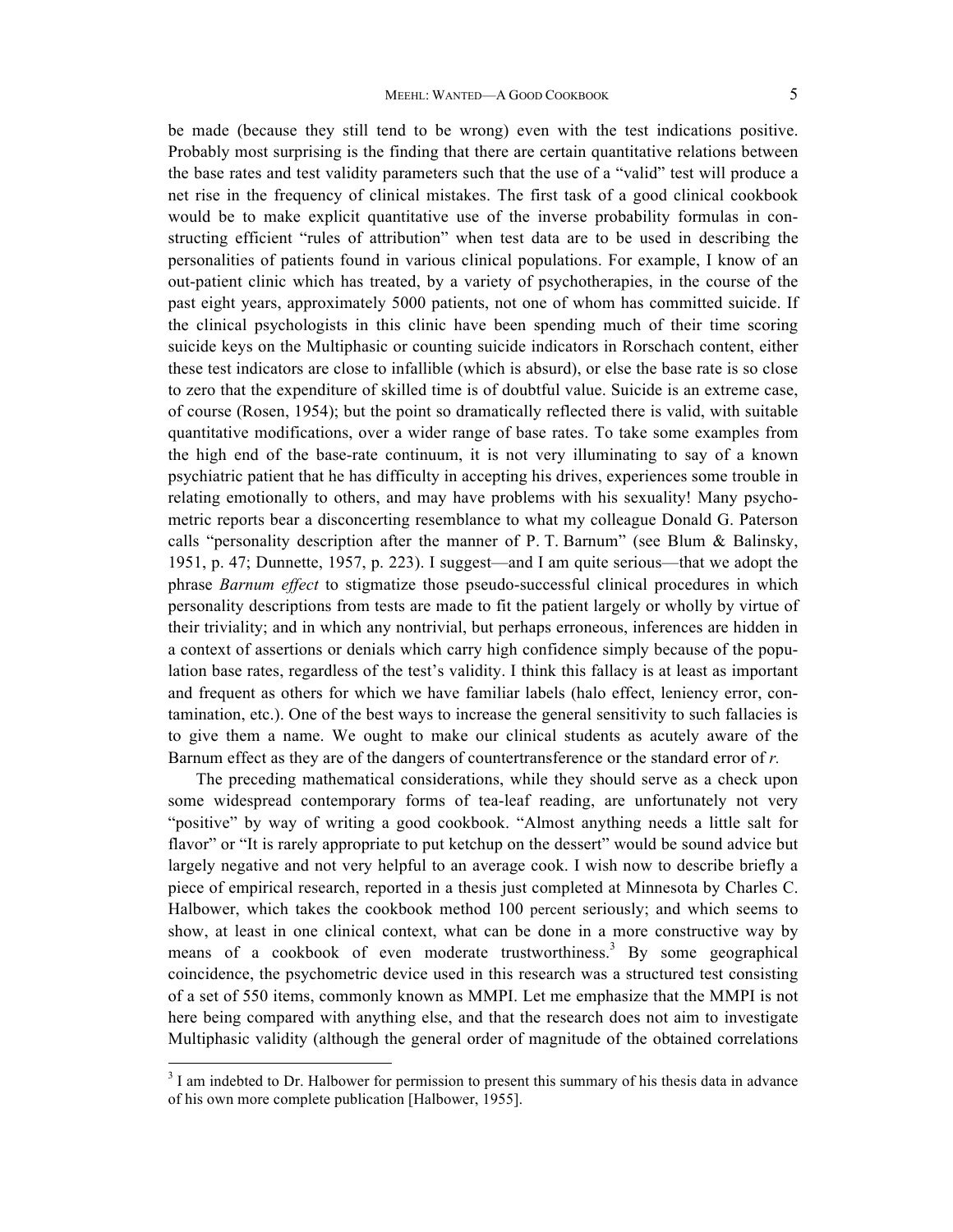be made (because they still tend to be wrong) even with the test indications positive. Probably most surprising is the finding that there are certain quantitative relations between the base rates and test validity parameters such that the use of a "valid" test will produce a net rise in the frequency of clinical mistakes. The first task of a good clinical cookbook would be to make explicit quantitative use of the inverse probability formulas in constructing efficient "rules of attribution" when test data are to be used in describing the personalities of patients found in various clinical populations. For example, I know of an out-patient clinic which has treated, by a variety of psychotherapies, in the course of the past eight years, approximately 5000 patients, not one of whom has committed suicide. If the clinical psychologists in this clinic have been spending much of their time scoring suicide keys on the Multiphasic or counting suicide indicators in Rorschach content, either these test indicators are close to infallible (which is absurd), or else the base rate is so close to zero that the expenditure of skilled time is of doubtful value. Suicide is an extreme case, of course (Rosen, 1954); but the point so dramatically reflected there is valid, with suitable quantitative modifications, over a wider range of base rates. To take some examples from the high end of the base-rate continuum, it is not very illuminating to say of a known psychiatric patient that he has difficulty in accepting his drives, experiences some trouble in relating emotionally to others, and may have problems with his sexuality! Many psychometric reports bear a disconcerting resemblance to what my colleague Donald G. Paterson calls "personality description after the manner of P. T. Barnum" (see Blum  $\&$  Balinsky, 1951, p. 47; Dunnette, 1957, p. 223). I suggest—and I am quite serious—that we adopt the phrase *Barnum effect* to stigmatize those pseudo-successful clinical procedures in which personality descriptions from tests are made to fit the patient largely or wholly by virtue of their triviality; and in which any nontrivial, but perhaps erroneous, inferences are hidden in a context of assertions or denials which carry high confidence simply because of the population base rates, regardless of the test's validity. I think this fallacy is at least as important and frequent as others for which we have familiar labels (halo effect, leniency error, contamination, etc.). One of the best ways to increase the general sensitivity to such fallacies is to give them a name. We ought to make our clinical students as acutely aware of the Barnum effect as they are of the dangers of countertransference or the standard error of *r.*

The preceding mathematical considerations, while they should serve as a check upon some widespread contemporary forms of tea-leaf reading, are unfortunately not very "positive" by way of writing a good cookbook. "Almost anything needs a little salt for flavor" or "It is rarely appropriate to put ketchup on the dessert" would be sound advice but largely negative and not very helpful to an average cook. I wish now to describe briefly a piece of empirical research, reported in a thesis just completed at Minnesota by Charles C. Halbower, which takes the cookbook method 100 percent seriously; and which seems to show, at least in one clinical context, what can be done in a more constructive way by means of a cookbook of even moderate trustworthiness.<sup>3</sup> By some geographical coincidence, the psychometric device used in this research was a structured test consisting of a set of 550 items, commonly known as MMPI. Let me emphasize that the MMPI is not here being compared with anything else, and that the research does not aim to investigate Multiphasic validity (although the general order of magnitude of the obtained correlations

 $3<sup>3</sup>$  I am indebted to Dr. Halbower for permission to present this summary of his thesis data in advance of his own more complete publication [Halbower, 1955].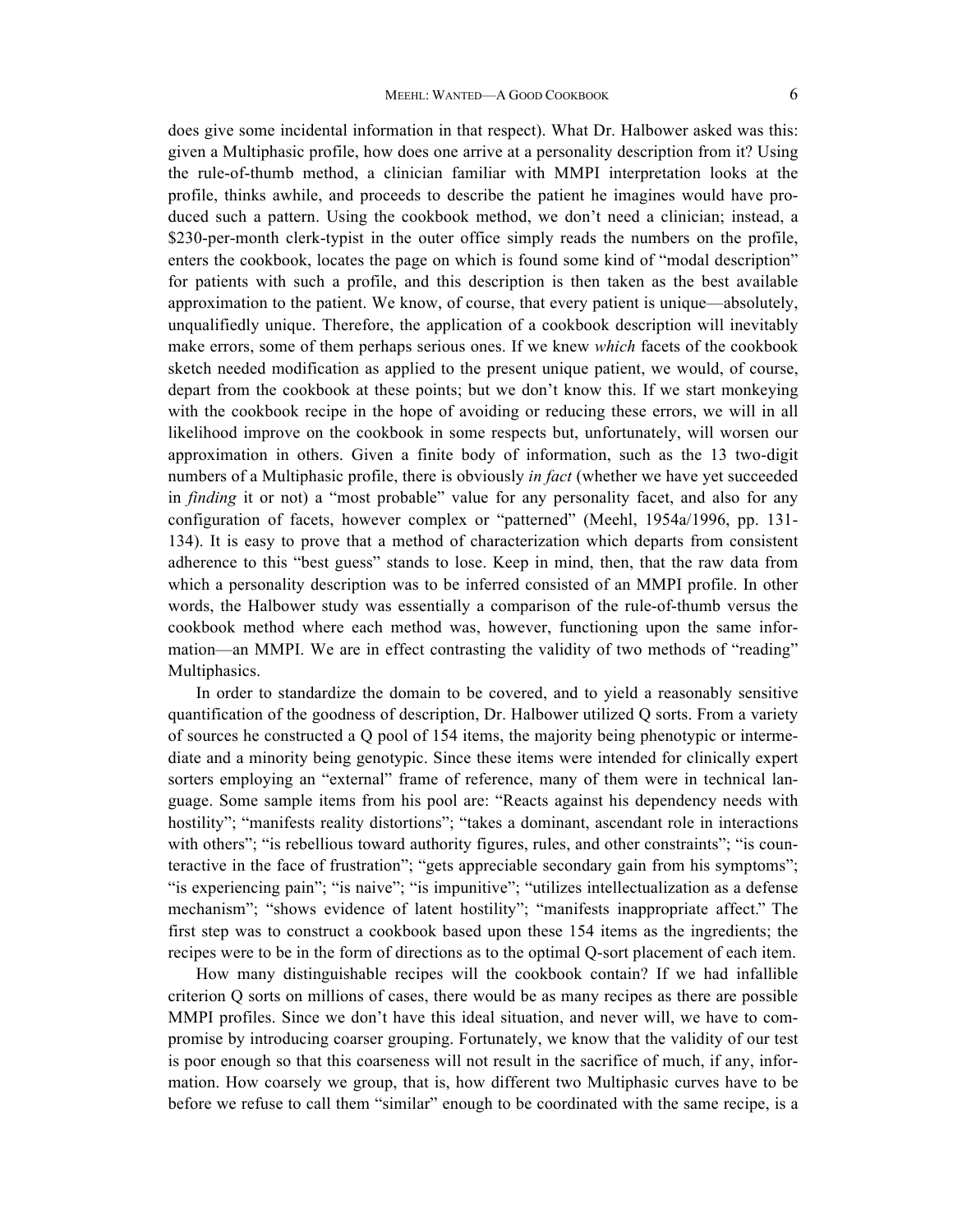does give some incidental information in that respect). What Dr. Halbower asked was this: given a Multiphasic profile, how does one arrive at a personality description from it? Using the rule-of-thumb method, a clinician familiar with MMPI interpretation looks at the profile, thinks awhile, and proceeds to describe the patient he imagines would have produced such a pattern. Using the cookbook method, we don't need a clinician; instead, a \$230-per-month clerk-typist in the outer office simply reads the numbers on the profile, enters the cookbook, locates the page on which is found some kind of "modal description" for patients with such a profile, and this description is then taken as the best available approximation to the patient. We know, of course, that every patient is unique—absolutely, unqualifiedly unique. Therefore, the application of a cookbook description will inevitably make errors, some of them perhaps serious ones. If we knew *which* facets of the cookbook sketch needed modification as applied to the present unique patient, we would, of course, depart from the cookbook at these points; but we don't know this. If we start monkeying with the cookbook recipe in the hope of avoiding or reducing these errors, we will in all likelihood improve on the cookbook in some respects but, unfortunately, will worsen our approximation in others. Given a finite body of information, such as the 13 two-digit numbers of a Multiphasic profile, there is obviously *in fact* (whether we have yet succeeded in *finding* it or not) a "most probable" value for any personality facet, and also for any configuration of facets, however complex or "patterned" (Meehl, 1954a/1996, pp. 131- 134). It is easy to prove that a method of characterization which departs from consistent adherence to this "best guess" stands to lose. Keep in mind, then, that the raw data from which a personality description was to be inferred consisted of an MMPI profile. In other words, the Halbower study was essentially a comparison of the rule-of-thumb versus the cookbook method where each method was, however, functioning upon the same information—an MMPI. We are in effect contrasting the validity of two methods of "reading" Multiphasics.

In order to standardize the domain to be covered, and to yield a reasonably sensitive quantification of the goodness of description, Dr. Halbower utilized Q sorts. From a variety of sources he constructed a Q pool of 154 items, the majority being phenotypic or intermediate and a minority being genotypic. Since these items were intended for clinically expert sorters employing an "external" frame of reference, many of them were in technical language. Some sample items from his pool are: "Reacts against his dependency needs with hostility"; "manifests reality distortions"; "takes a dominant, ascendant role in interactions with others"; "is rebellious toward authority figures, rules, and other constraints"; "is counteractive in the face of frustration"; "gets appreciable secondary gain from his symptoms"; "is experiencing pain"; "is naive"; "is impunitive"; "utilizes intellectualization as a defense mechanism"; "shows evidence of latent hostility"; "manifests inappropriate affect." The first step was to construct a cookbook based upon these 154 items as the ingredients; the recipes were to be in the form of directions as to the optimal Q-sort placement of each item.

How many distinguishable recipes will the cookbook contain? If we had infallible criterion Q sorts on millions of cases, there would be as many recipes as there are possible MMPI profiles. Since we don't have this ideal situation, and never will, we have to compromise by introducing coarser grouping. Fortunately, we know that the validity of our test is poor enough so that this coarseness will not result in the sacrifice of much, if any, information. How coarsely we group, that is, how different two Multiphasic curves have to be before we refuse to call them "similar" enough to be coordinated with the same recipe, is a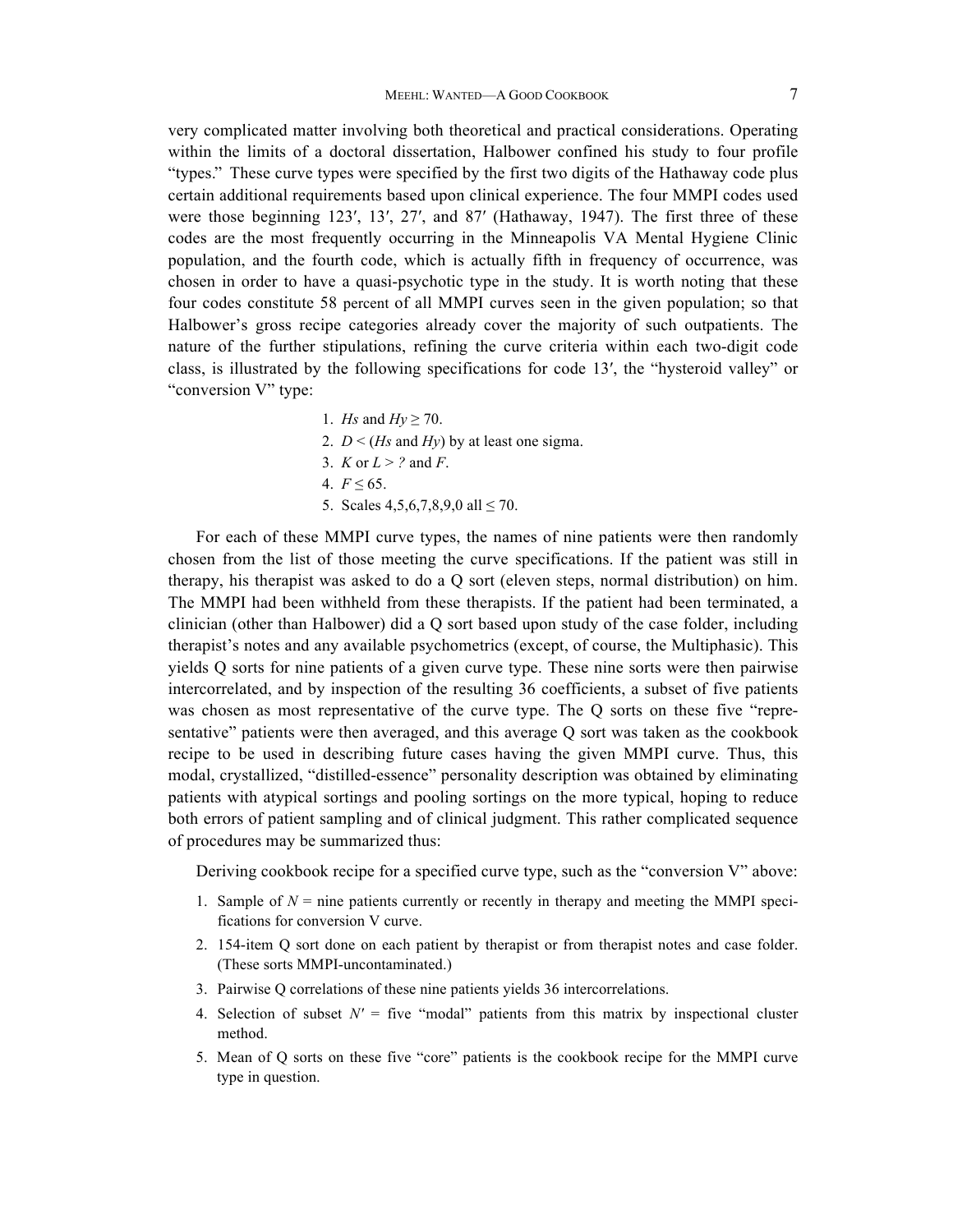very complicated matter involving both theoretical and practical considerations. Operating within the limits of a doctoral dissertation, Halbower confined his study to four profile "types." These curve types were specified by the first two digits of the Hathaway code plus certain additional requirements based upon clinical experience. The four MMPI codes used were those beginning 123′, 13′, 27′, and 87′ (Hathaway, 1947). The first three of these codes are the most frequently occurring in the Minneapolis VA Mental Hygiene Clinic population, and the fourth code, which is actually fifth in frequency of occurrence, was chosen in order to have a quasi-psychotic type in the study. It is worth noting that these four codes constitute 58 percent of all MMPI curves seen in the given population; so that Halbower's gross recipe categories already cover the majority of such outpatients. The nature of the further stipulations, refining the curve criteria within each two-digit code class, is illustrated by the following specifications for code 13′, the "hysteroid valley" or "conversion V" type:

> 1. *Hs* and  $Hy \ge 70$ . 2.  $D < (Hs$  and  $Hy)$  by at least one sigma. 3. *K* or *L* > *?* and *F*. 4.  $F \le 65$ . 5. Scales  $4,5,6,7,8,9,0$  all  $\leq 70$ .

For each of these MMPI curve types, the names of nine patients were then randomly chosen from the list of those meeting the curve specifications. If the patient was still in therapy, his therapist was asked to do a Q sort (eleven steps, normal distribution) on him. The MMPI had been withheld from these therapists. If the patient had been terminated, a clinician (other than Halbower) did a Q sort based upon study of the case folder, including therapist's notes and any available psychometrics (except, of course, the Multiphasic). This yields Q sorts for nine patients of a given curve type. These nine sorts were then pairwise intercorrelated, and by inspection of the resulting 36 coefficients, a subset of five patients was chosen as most representative of the curve type. The Q sorts on these five "representative" patients were then averaged, and this average Q sort was taken as the cookbook recipe to be used in describing future cases having the given MMPI curve. Thus, this modal, crystallized, "distilled-essence" personality description was obtained by eliminating patients with atypical sortings and pooling sortings on the more typical, hoping to reduce both errors of patient sampling and of clinical judgment. This rather complicated sequence of procedures may be summarized thus:

Deriving cookbook recipe for a specified curve type, such as the "conversion V" above:

- 1. Sample of  $N =$  nine patients currently or recently in therapy and meeting the MMPI specifications for conversion V curve.
- 2. 154-item Q sort done on each patient by therapist or from therapist notes and case folder. (These sorts MMPI-uncontaminated.)
- 3. Pairwise Q correlations of these nine patients yields 36 intercorrelations.
- 4. Selection of subset  $N' =$  five "modal" patients from this matrix by inspectional cluster method.
- 5. Mean of Q sorts on these five "core" patients is the cookbook recipe for the MMPI curve type in question.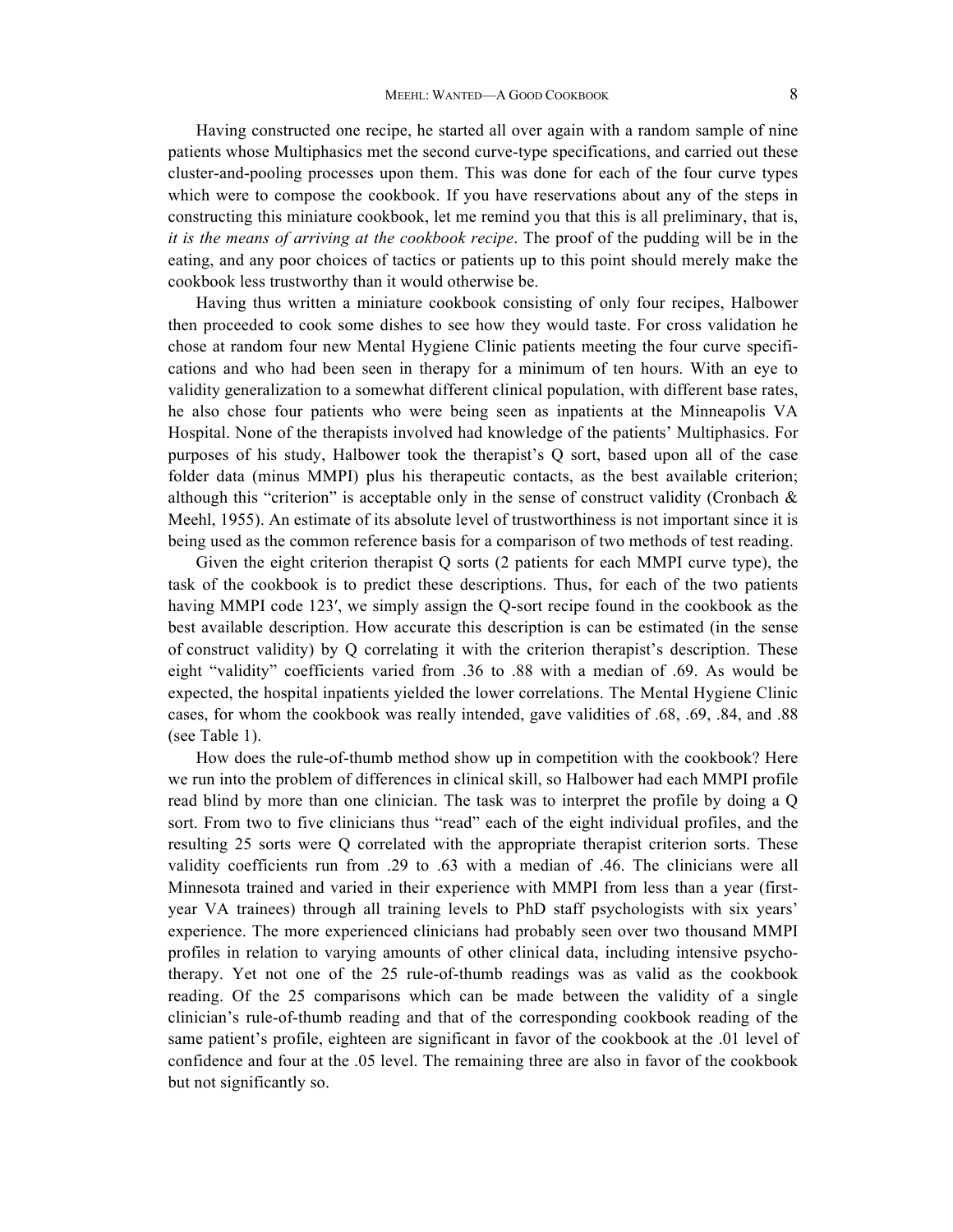Having constructed one recipe, he started all over again with a random sample of nine patients whose Multiphasics met the second curve-type specifications, and carried out these cluster-and-pooling processes upon them. This was done for each of the four curve types which were to compose the cookbook. If you have reservations about any of the steps in constructing this miniature cookbook, let me remind you that this is all preliminary, that is, *it is the means of arriving at the cookbook recipe*. The proof of the pudding will be in the eating, and any poor choices of tactics or patients up to this point should merely make the cookbook less trustworthy than it would otherwise be.

Having thus written a miniature cookbook consisting of only four recipes, Halbower then proceeded to cook some dishes to see how they would taste. For cross validation he chose at random four new Mental Hygiene Clinic patients meeting the four curve specifications and who had been seen in therapy for a minimum of ten hours. With an eye to validity generalization to a somewhat different clinical population, with different base rates, he also chose four patients who were being seen as inpatients at the Minneapolis VA Hospital. None of the therapists involved had knowledge of the patients' Multiphasics. For purposes of his study, Halbower took the therapist's Q sort, based upon all of the case folder data (minus MMPI) plus his therapeutic contacts, as the best available criterion; although this "criterion" is acceptable only in the sense of construct validity (Cronbach  $\&$ Meehl, 1955). An estimate of its absolute level of trustworthiness is not important since it is being used as the common reference basis for a comparison of two methods of test reading.

Given the eight criterion therapist Q sorts (2 patients for each MMPI curve type), the task of the cookbook is to predict these descriptions. Thus, for each of the two patients having MMPI code 123′, we simply assign the Q-sort recipe found in the cookbook as the best available description. How accurate this description is can be estimated (in the sense of construct validity) by Q correlating it with the criterion therapist's description. These eight "validity" coefficients varied from .36 to .88 with a median of .69. As would be expected, the hospital inpatients yielded the lower correlations. The Mental Hygiene Clinic cases, for whom the cookbook was really intended, gave validities of .68, .69, .84, and .88 (see Table 1).

How does the rule-of-thumb method show up in competition with the cookbook? Here we run into the problem of differences in clinical skill, so Halbower had each MMPI profile read blind by more than one clinician. The task was to interpret the profile by doing a Q sort. From two to five clinicians thus "read" each of the eight individual profiles, and the resulting 25 sorts were Q correlated with the appropriate therapist criterion sorts. These validity coefficients run from .29 to .63 with a median of .46. The clinicians were all Minnesota trained and varied in their experience with MMPI from less than a year (firstyear VA trainees) through all training levels to PhD staff psychologists with six years' experience. The more experienced clinicians had probably seen over two thousand MMPI profiles in relation to varying amounts of other clinical data, including intensive psychotherapy. Yet not one of the 25 rule-of-thumb readings was as valid as the cookbook reading. Of the 25 comparisons which can be made between the validity of a single clinician's rule-of-thumb reading and that of the corresponding cookbook reading of the same patient's profile, eighteen are significant in favor of the cookbook at the .01 level of confidence and four at the .05 level. The remaining three are also in favor of the cookbook but not significantly so.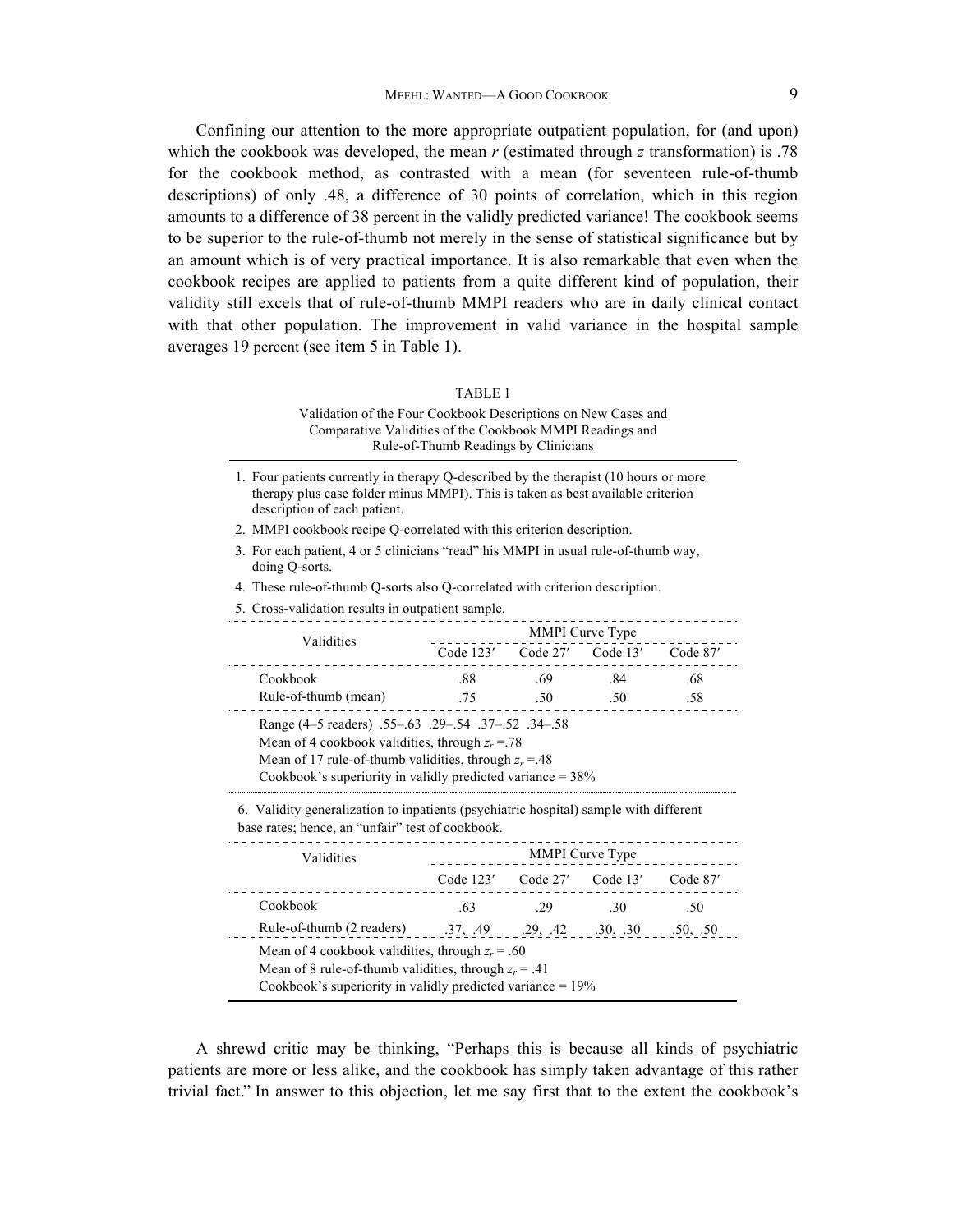Confining our attention to the more appropriate outpatient population, for (and upon) which the cookbook was developed, the mean *r* (estimated through *z* transformation) is .78 for the cookbook method, as contrasted with a mean (for seventeen rule-of-thumb descriptions) of only .48, a difference of 30 points of correlation, which in this region amounts to a difference of 38 percent in the validly predicted variance! The cookbook seems to be superior to the rule-of-thumb not merely in the sense of statistical significance but by an amount which is of very practical importance. It is also remarkable that even when the cookbook recipes are applied to patients from a quite different kind of population, their validity still excels that of rule-of-thumb MMPI readers who are in daily clinical contact with that other population. The improvement in valid variance in the hospital sample averages 19 percent (see item 5 in Table 1).

#### TABLE 1

### Validation of the Four Cookbook Descriptions on New Cases and Comparative Validities of the Cookbook MMPI Readings and Rule-of-Thumb Readings by Clinicians

- 1. Four patients currently in therapy Q-described by the therapist (10 hours or more therapy plus case folder minus MMPI). This is taken as best available criterion description of each patient.
- 2. MMPI cookbook recipe Q-correlated with this criterion description.
- 3. For each patient, 4 or 5 clinicians "read" his MMPI in usual rule-of-thumb way, doing Q-sorts.
- 4. These rule-of-thumb Q-sorts also Q-correlated with criterion description.
- 5. Cross-validation results in outpatient sample.

| Validities                                                                                                                                                                                                     |             |            | <b>MMPI</b> Curve Type |          |
|----------------------------------------------------------------------------------------------------------------------------------------------------------------------------------------------------------------|-------------|------------|------------------------|----------|
|                                                                                                                                                                                                                | Code $123'$ | Code $27'$ | Code $13'$             | Code 87' |
| Cookbook                                                                                                                                                                                                       | -88         | .69        | -84                    | .68      |
| Rule-of-thumb (mean)                                                                                                                                                                                           | .75         | .50        | .50                    | .58      |
| Mean of 4 cookbook validities, through $z_r = 78$                                                                                                                                                              |             |            |                        |          |
| Mean of 17 rule-of-thumb validities, through $z_r = 48$<br>Cookbook's superiority in validly predicted variance = 38%<br>6. Validity generalization to inpatients (psychiatric hospital) sample with different |             |            |                        |          |
| base rates; hence, an "unfair" test of cookbook.                                                                                                                                                               |             |            | <b>MMPI</b> Curve Type |          |
| Validities                                                                                                                                                                                                     | Code $123'$ | Code 27'   | Code 13'               | Code 87' |
| Cookbook                                                                                                                                                                                                       | .63         | .29        | .30                    | .50      |

Cookbook's superiority in validly predicted variance  $= 19\%$ 

A shrewd critic may be thinking, "Perhaps this is because all kinds of psychiatric patients are more or less alike, and the cookbook has simply taken advantage of this rather trivial fact." In answer to this objection, let me say first that to the extent the cookbook's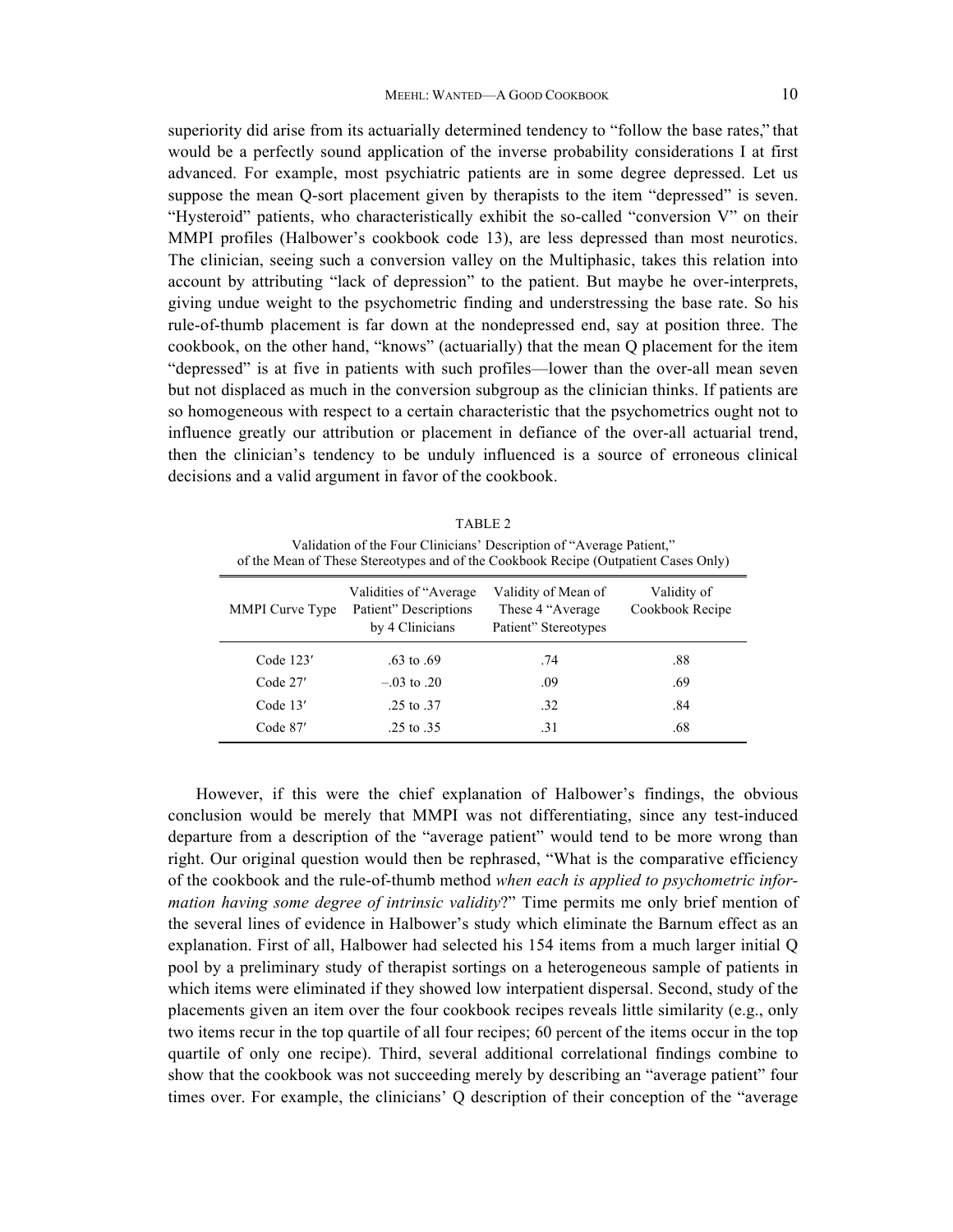superiority did arise from its actuarially determined tendency to "follow the base rates," that would be a perfectly sound application of the inverse probability considerations I at first advanced. For example, most psychiatric patients are in some degree depressed. Let us suppose the mean Q-sort placement given by therapists to the item "depressed" is seven. "Hysteroid" patients, who characteristically exhibit the so-called "conversion V" on their MMPI profiles (Halbower's cookbook code 13), are less depressed than most neurotics. The clinician, seeing such a conversion valley on the Multiphasic, takes this relation into account by attributing "lack of depression" to the patient. But maybe he over-interprets, giving undue weight to the psychometric finding and understressing the base rate. So his rule-of-thumb placement is far down at the nondepressed end, say at position three. The cookbook, on the other hand, "knows" (actuarially) that the mean Q placement for the item "depressed" is at five in patients with such profiles—lower than the over-all mean seven but not displaced as much in the conversion subgroup as the clinician thinks. If patients are so homogeneous with respect to a certain characteristic that the psychometrics ought not to influence greatly our attribution or placement in defiance of the over-all actuarial trend, then the clinician's tendency to be unduly influenced is a source of erroneous clinical decisions and a valid argument in favor of the cookbook.

| Validation of the Four Clinicians' Description of "Average Patient,"<br>of the Mean of These Stereotypes and of the Cookbook Recipe (Outpatient Cases Only) |                                                                     |                                                                  |                                |  |  |  |
|-------------------------------------------------------------------------------------------------------------------------------------------------------------|---------------------------------------------------------------------|------------------------------------------------------------------|--------------------------------|--|--|--|
| <b>MMPI</b> Curve Type                                                                                                                                      | Validities of "Average"<br>Patient" Descriptions<br>by 4 Clinicians | Validity of Mean of<br>These 4 "Average"<br>Patient" Stereotypes | Validity of<br>Cookbook Recipe |  |  |  |
| Code $123'$                                                                                                                                                 | $.63 \text{ to } .69$                                               | .74                                                              | .88                            |  |  |  |
| Code 27'                                                                                                                                                    | $-.03$ to .20                                                       | .09                                                              | .69                            |  |  |  |
| Code 13'                                                                                                                                                    | .25 to .37                                                          | .32                                                              | .84                            |  |  |  |
| Code 87'                                                                                                                                                    | .25 to .35                                                          | 31                                                               | .68                            |  |  |  |

TABLE 2

However, if this were the chief explanation of Halbower's findings, the obvious conclusion would be merely that MMPI was not differentiating, since any test-induced departure from a description of the "average patient" would tend to be more wrong than right. Our original question would then be rephrased, "What is the comparative efficiency of the cookbook and the rule-of-thumb method *when each is applied to psychometric information having some degree of intrinsic validity*?" Time permits me only brief mention of the several lines of evidence in Halbower's study which eliminate the Barnum effect as an explanation. First of all, Halbower had selected his 154 items from a much larger initial Q pool by a preliminary study of therapist sortings on a heterogeneous sample of patients in which items were eliminated if they showed low interpatient dispersal. Second, study of the placements given an item over the four cookbook recipes reveals little similarity (e.g., only two items recur in the top quartile of all four recipes; 60 percent of the items occur in the top quartile of only one recipe). Third, several additional correlational findings combine to show that the cookbook was not succeeding merely by describing an "average patient" four times over. For example, the clinicians' Q description of their conception of the "average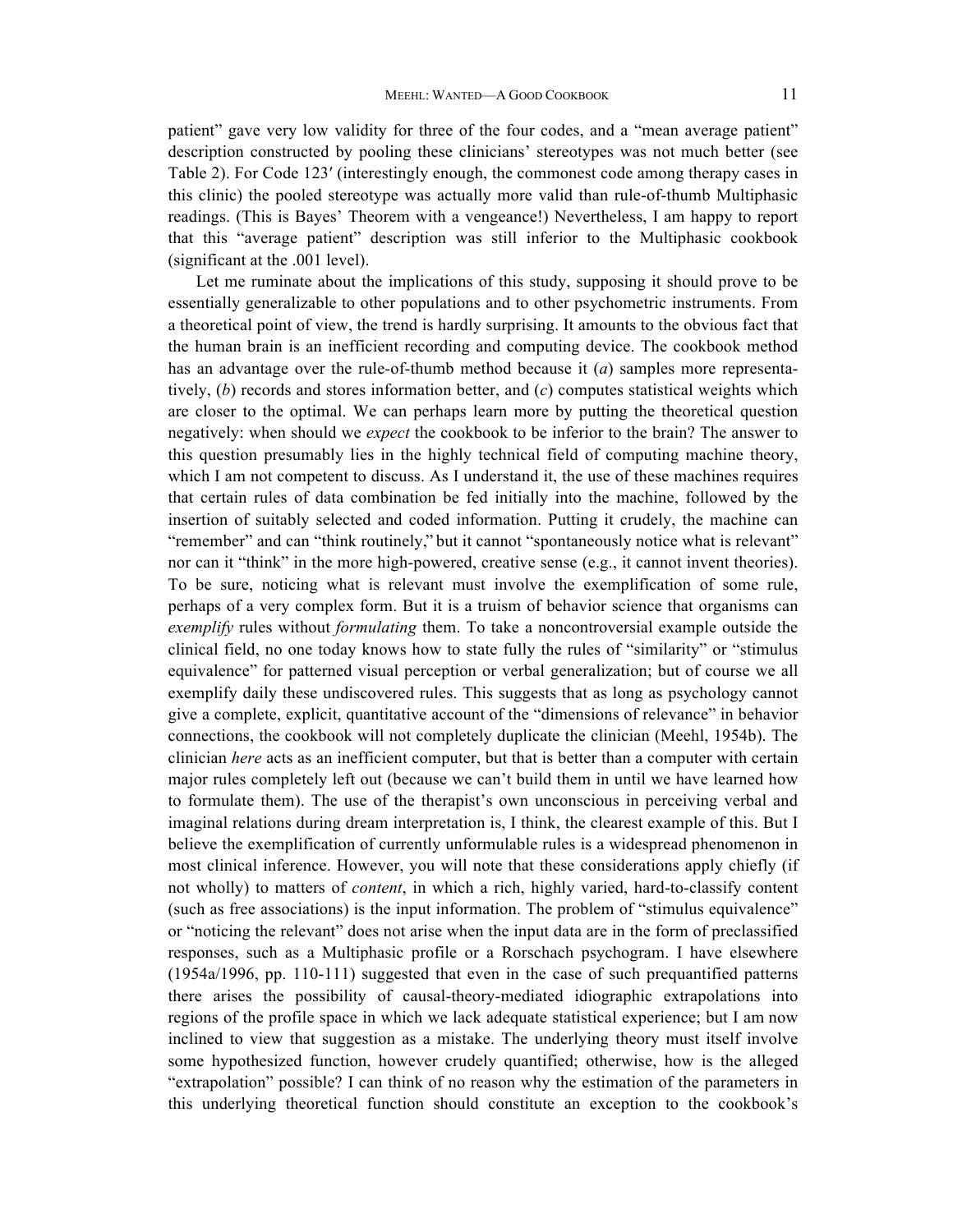patient" gave very low validity for three of the four codes, and a "mean average patient" description constructed by pooling these clinicians' stereotypes was not much better (see Table 2). For Code 123′ (interestingly enough, the commonest code among therapy cases in this clinic) the pooled stereotype was actually more valid than rule-of-thumb Multiphasic readings. (This is Bayes' Theorem with a vengeance!) Nevertheless, I am happy to report that this "average patient" description was still inferior to the Multiphasic cookbook (significant at the .001 level).

Let me ruminate about the implications of this study, supposing it should prove to be essentially generalizable to other populations and to other psychometric instruments. From a theoretical point of view, the trend is hardly surprising. It amounts to the obvious fact that the human brain is an inefficient recording and computing device. The cookbook method has an advantage over the rule-of-thumb method because it (*a*) samples more representatively, (*b*) records and stores information better, and (*c*) computes statistical weights which are closer to the optimal. We can perhaps learn more by putting the theoretical question negatively: when should we *expect* the cookbook to be inferior to the brain? The answer to this question presumably lies in the highly technical field of computing machine theory, which I am not competent to discuss. As I understand it, the use of these machines requires that certain rules of data combination be fed initially into the machine, followed by the insertion of suitably selected and coded information. Putting it crudely, the machine can "remember" and can "think routinely," but it cannot "spontaneously notice what is relevant" nor can it "think" in the more high-powered, creative sense (e.g., it cannot invent theories). To be sure, noticing what is relevant must involve the exemplification of some rule, perhaps of a very complex form. But it is a truism of behavior science that organisms can *exemplify* rules without *formulating* them. To take a noncontroversial example outside the clinical field, no one today knows how to state fully the rules of "similarity" or "stimulus equivalence" for patterned visual perception or verbal generalization; but of course we all exemplify daily these undiscovered rules. This suggests that as long as psychology cannot give a complete, explicit, quantitative account of the "dimensions of relevance" in behavior connections, the cookbook will not completely duplicate the clinician (Meehl, 1954b). The clinician *here* acts as an inefficient computer, but that is better than a computer with certain major rules completely left out (because we can't build them in until we have learned how to formulate them). The use of the therapist's own unconscious in perceiving verbal and imaginal relations during dream interpretation is, I think, the clearest example of this. But I believe the exemplification of currently unformulable rules is a widespread phenomenon in most clinical inference. However, you will note that these considerations apply chiefly (if not wholly) to matters of *content*, in which a rich, highly varied, hard-to-classify content (such as free associations) is the input information. The problem of "stimulus equivalence" or "noticing the relevant" does not arise when the input data are in the form of preclassified responses, such as a Multiphasic profile or a Rorschach psychogram. I have elsewhere (1954a/1996, pp. 110-111) suggested that even in the case of such prequantified patterns there arises the possibility of causal-theory-mediated idiographic extrapolations into regions of the profile space in which we lack adequate statistical experience; but I am now inclined to view that suggestion as a mistake. The underlying theory must itself involve some hypothesized function, however crudely quantified; otherwise, how is the alleged "extrapolation" possible? I can think of no reason why the estimation of the parameters in this underlying theoretical function should constitute an exception to the cookbook's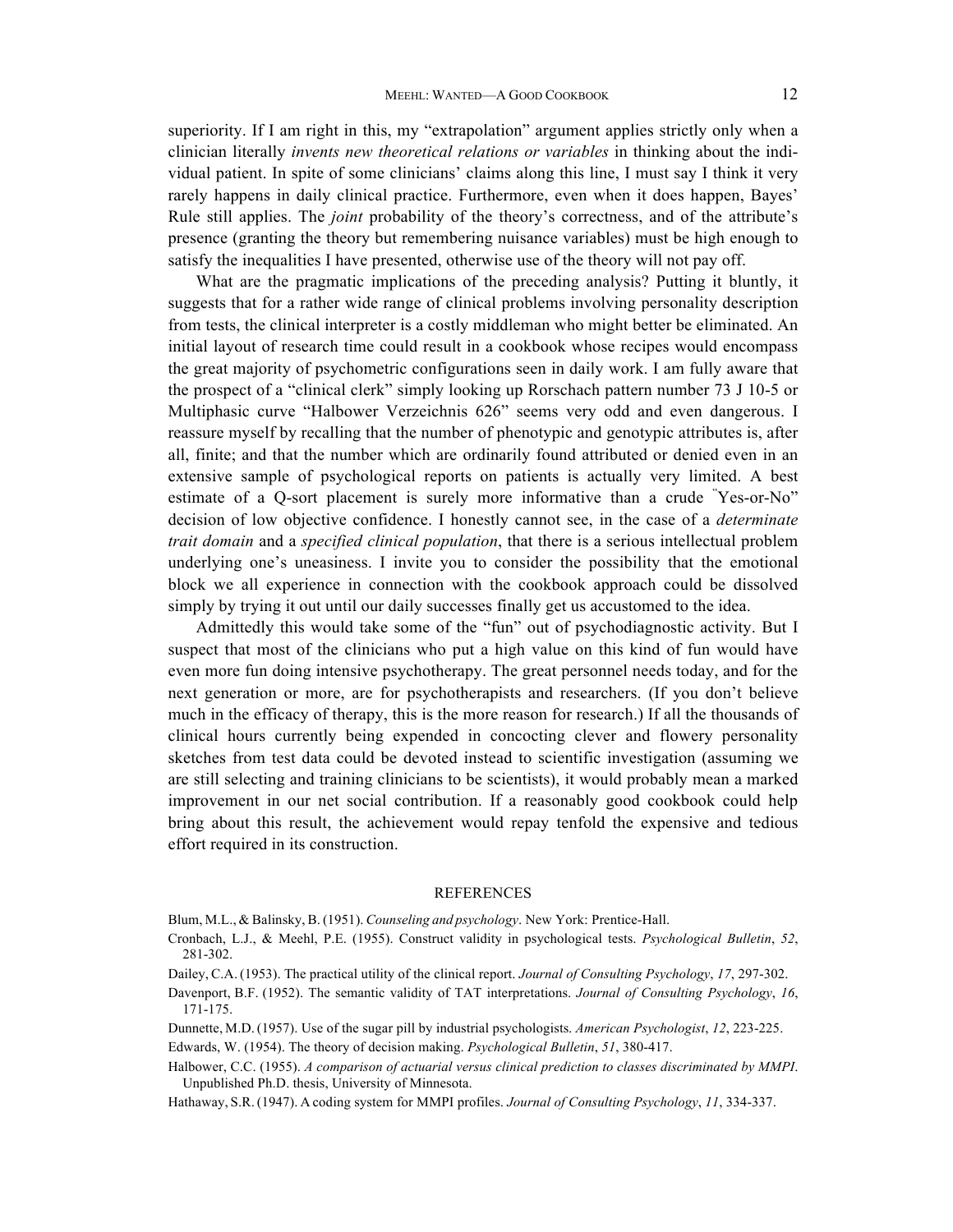superiority. If I am right in this, my "extrapolation" argument applies strictly only when a clinician literally *invents new theoretical relations or variables* in thinking about the individual patient. In spite of some clinicians' claims along this line, I must say I think it very rarely happens in daily clinical practice. Furthermore, even when it does happen, Bayes' Rule still applies. The *joint* probability of the theory's correctness, and of the attribute's presence (granting the theory but remembering nuisance variables) must be high enough to satisfy the inequalities I have presented, otherwise use of the theory will not pay off.

What are the pragmatic implications of the preceding analysis? Putting it bluntly, it suggests that for a rather wide range of clinical problems involving personality description from tests, the clinical interpreter is a costly middleman who might better be eliminated. An initial layout of research time could result in a cookbook whose recipes would encompass the great majority of psychometric configurations seen in daily work. I am fully aware that the prospect of a "clinical clerk" simply looking up Rorschach pattern number 73 J 10-5 or Multiphasic curve "Halbower Verzeichnis 626" seems very odd and even dangerous. I reassure myself by recalling that the number of phenotypic and genotypic attributes is, after all, finite; and that the number which are ordinarily found attributed or denied even in an extensive sample of psychological reports on patients is actually very limited. A best estimate of a Q-sort placement is surely more informative than a crude "Yes-or-No" decision of low objective confidence. I honestly cannot see, in the case of a *determinate trait domain* and a *specified clinical population*, that there is a serious intellectual problem underlying one's uneasiness. I invite you to consider the possibility that the emotional block we all experience in connection with the cookbook approach could be dissolved simply by trying it out until our daily successes finally get us accustomed to the idea.

Admittedly this would take some of the "fun" out of psychodiagnostic activity. But I suspect that most of the clinicians who put a high value on this kind of fun would have even more fun doing intensive psychotherapy. The great personnel needs today, and for the next generation or more, are for psychotherapists and researchers. (If you don't believe much in the efficacy of therapy, this is the more reason for research.) If all the thousands of clinical hours currently being expended in concocting clever and flowery personality sketches from test data could be devoted instead to scientific investigation (assuming we are still selecting and training clinicians to be scientists), it would probably mean a marked improvement in our net social contribution. If a reasonably good cookbook could help bring about this result, the achievement would repay tenfold the expensive and tedious effort required in its construction.

## REFERENCES

- Cronbach, L.J., & Meehl, P.E. (1955). Construct validity in psychological tests. *Psychological Bulletin*, *52*, 281-302.
- Dailey, C.A. (1953). The practical utility of the clinical report. *Journal of Consulting Psychology*, *17*, 297-302.
- Davenport, B.F. (1952). The semantic validity of TAT interpretations. *Journal of Consulting Psychology*, *16*, 171-175.
- Dunnette, M.D. (1957). Use of the sugar pill by industrial psychologists. *American Psychologist*, *12*, 223-225. Edwards, W. (1954). The theory of decision making. *Psychological Bulletin*, *51*, 380-417.

Halbower, C.C. (1955). *A comparison of actuarial versus clinical prediction to classes discriminated by MMPI*. Unpublished Ph.D. thesis, University of Minnesota.

Hathaway, S.R. (1947). A coding system for MMPI profiles. *Journal of Consulting Psychology*, *11*, 334-337.

Blum, M.L., & Balinsky, B. (1951). *Counseling and psychology*. New York: Prentice-Hall.